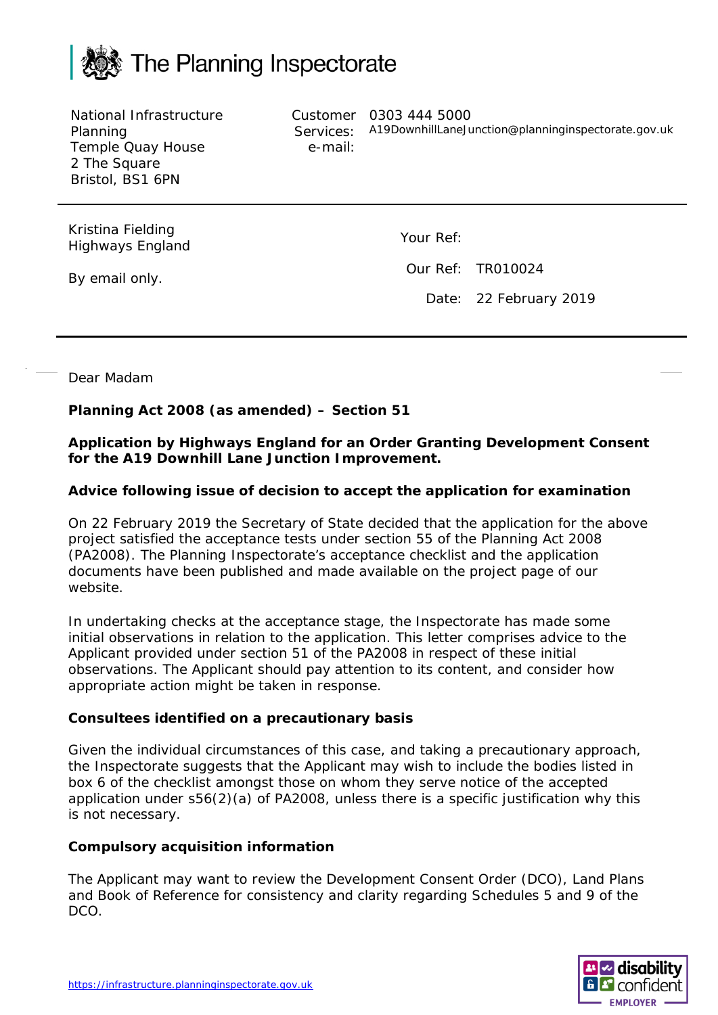

National Infrastructure Planning Temple Quay House 2 The Square Bristol, BS1 6PN

e-mail:

Customer 0303 444 5000 Services: A19DownhillLaneJunction@planninginspectorate.gov.uk

Kristina Fielding Highways England

Your Ref:

Our Ref: TR010024

Date: 22 February 2019

By email only.

Dear Madam

# **Planning Act 2008 (as amended) – Section 51**

## **Application by Highways England for an Order Granting Development Consent for the A19 Downhill Lane Junction Improvement.**

# **Advice following issue of decision to accept the application for examination**

On 22 February 2019 the Secretary of State decided that the application for the above project satisfied the acceptance tests under section 55 of the Planning Act 2008 (PA2008). The Planning Inspectorate's acceptance checklist and the application documents have been published and made available on the project page of our website.

In undertaking checks at the acceptance stage, the Inspectorate has made some initial observations in relation to the application. This letter comprises advice to the Applicant provided under section 51 of the PA2008 in respect of these initial observations. The Applicant should pay attention to its content, and consider how appropriate action might be taken in response.

### **Consultees identified on a precautionary basis**

Given the individual circumstances of this case, and taking a precautionary approach, the Inspectorate suggests that the Applicant may wish to include the bodies listed in box 6 of the checklist amongst those on whom they serve notice of the accepted application under s56(2)(a) of PA2008, unless there is a specific justification why this is not necessary.

### **Compulsory acquisition information**

The Applicant may want to review the Development Consent Order (DCO), Land Plans and Book of Reference for consistency and clarity regarding Schedules 5 and 9 of the DCO.